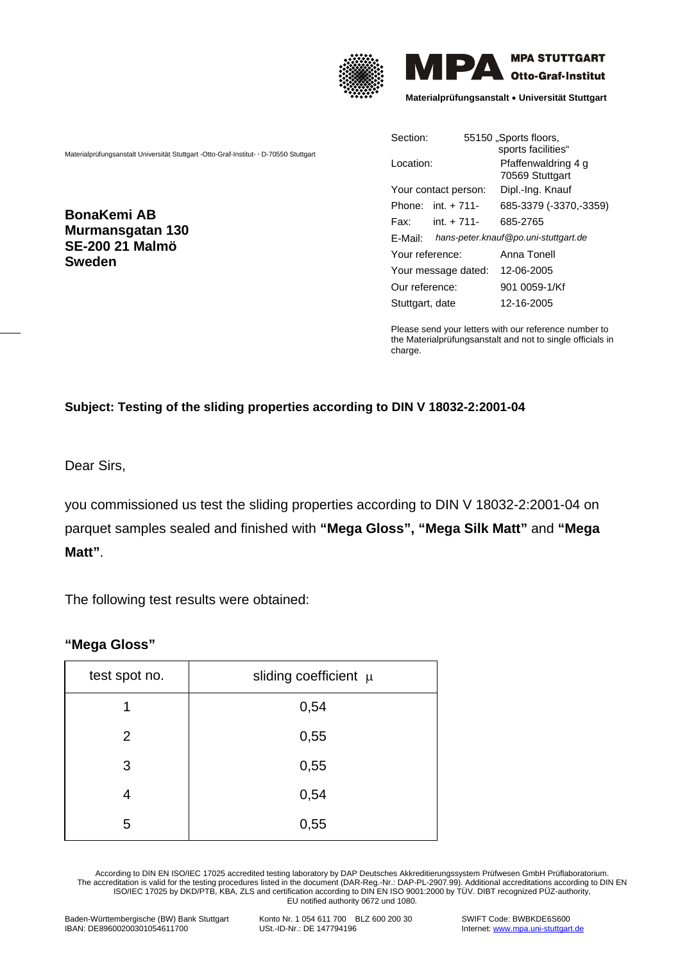



**Materialprüfungsanstalt** • **Universität Stuttgart**

Materialprüfungsanstalt Universität Stuttgart -Otto-Graf-Institut- **·** D-70550 Stuttgart

**BonaKemi AB Murmansgatan 130 SE-200 21 Malmö Sweden**

| Section:               | 55150 "Sports floors,<br>sports facilities" |
|------------------------|---------------------------------------------|
| Location:              | Pfaffenwaldring 4 g<br>70569 Stuttgart      |
| Your contact person:   | Dipl.-Ing. Knauf                            |
| Phone: $int + 711$     | 685-3379 (-3370,-3359)                      |
| $int. + 711 -$<br>Fax: | 685-2765                                    |
| F-Mail:                | hans-peter.knauf@po.uni-stuttgart.de        |
| Your reference:        | Anna Tonell                                 |
| Your message dated:    | 12-06-2005                                  |
| Our reference:         | 901 0059-1/Kf                               |
| Stuttgart, date        | 12-16-2005                                  |

Please send your letters with our reference number to the Materialprüfungsanstalt and not to single officials in charge.

## **Subject: Testing of the sliding properties according to DIN V 18032-2:2001-04**

Dear Sirs,

you commissioned us test the sliding properties according to DIN V 18032-2:2001-04 on parquet samples sealed and finished with **"Mega Gloss", "Mega Silk Matt"** and **"Mega Matt"**.

The following test results were obtained:

## **"Mega Gloss"**

| test spot no. | sliding coefficient $\mu$ |
|---------------|---------------------------|
| 1             | 0,54                      |
| 2             | 0,55                      |
| 3             | 0,55                      |
| 4             | 0,54                      |
| 5             | 0,55                      |

According to DIN EN ISO/IEC 17025 accredited testing laboratory by DAP Deutsches Akkreditierungssystem Prüfwesen GmbH Prüflaboratorium. The accreditation is valid for the testing procedures listed in the document (DAR-Reg.-Nr.: DAP-PL-2907.99). Additional accreditations according to DIN EN ISO/IEC 17025 by DKD/PTB, KBA, ZLS and certification according to DIN EN ISO 9001:2000 by TÜV. DIBT recognized PÜZ-authority, EU notified authority 0672 und 1080.